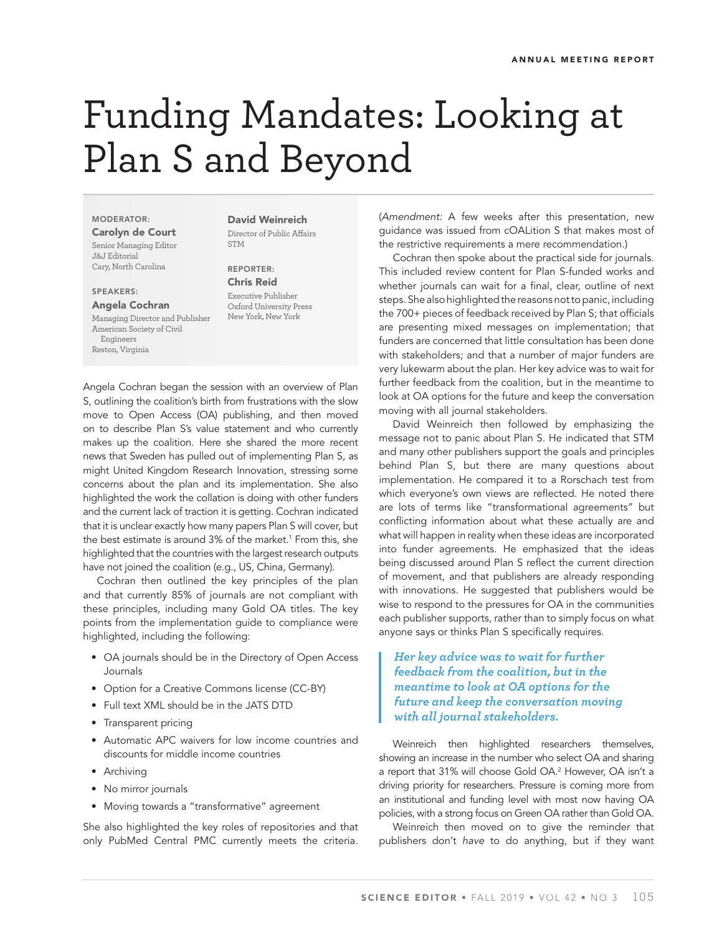## Funding Mandates: Looking at Plan S and Beyond

**MODERATOR: Carolyn de Court** Senior Managing Editor J&J Editorial Cary, North Carolina

**SPEAKERS: Angela Cochran**

Managing Director and Publisher American Society of Civil Engineers Reston, Virginia

**David Weinreich** Director of Public Affairs **STM** 

**REPORTER: Chris Reid** Executive Publisher Oxford University Press New York, New York

Angela Cochran began the session with an overview of Plan S, outlining the coalition's birth from frustrations with the slow move to Open Access (OA) publishing, and then moved on to describe Plan S's value statement and who currently makes up the coalition. Here she shared the more recent news that Sweden has pulled out of implementing Plan S, as might United Kingdom Research Innovation, stressing some concerns about the plan and its implementation. She also highlighted the work the collation is doing with other funders and the current lack of traction it is getting. Cochran indicated that it is unclear exactly how many papers Plan S will cover, but the best estimate is around 3% of the market.<sup>1</sup> From this, she highlighted that the countries with the largest research outputs have not joined the coalition (e.g., US, China, Germany).

Cochran then outlined the key principles of the plan and that currently 85% of journals are not compliant with these principles, including many Gold OA titles. The key points from the implementation guide to compliance were highlighted, including the following:

- OA journals should be in the Directory of Open Access Journals
- Option for a Creative Commons license (CC-BY)
- Full text XML should be in the JATS DTD
- Transparent pricing
- Automatic APC waivers for low income countries and discounts for middle income countries
- Archiving
- No mirror journals
- Moving towards a "transformative" agreement

She also highlighted the key roles of repositories and that only PubMed Central PMC currently meets the criteria.

(Amendment: A few weeks after this presentation, new guidance was issued from cOALition S that makes most of the restrictive requirements a mere recommendation.)

Cochran then spoke about the practical side for journals. This included review content for Plan S-funded works and whether journals can wait for a final, clear, outline of next steps. She also highlighted the reasons not to panic, including the 700+ pieces of feedback received by Plan S; that officials are presenting mixed messages on implementation; that funders are concerned that little consultation has been done with stakeholders; and that a number of major funders are very lukewarm about the plan. Her key advice was to wait for further feedback from the coalition, but in the meantime to look at OA options for the future and keep the conversation moving with all journal stakeholders.

David Weinreich then followed by emphasizing the message not to panic about Plan S. He indicated that STM and many other publishers support the goals and principles behind Plan S, but there are many questions about implementation. He compared it to a Rorschach test from which everyone's own views are reflected. He noted there are lots of terms like "transformational agreements" but conflicting information about what these actually are and what will happen in reality when these ideas are incorporated into funder agreements. He emphasized that the ideas being discussed around Plan S reflect the current direction of movement, and that publishers are already responding with innovations. He suggested that publishers would be wise to respond to the pressures for OA in the communities each publisher supports, rather than to simply focus on what anyone says or thinks Plan S specifically requires.

## *Her key advice was to wait for further feedback from the coalition, but in the meantime to look at OA options for the future and keep the conversation moving with all journal stakeholders.*

Weinreich then highlighted researchers themselves, showing an increase in the number who select OA and sharing a report that 31% will choose Gold OA.2 However, OA isn't a driving priority for researchers. Pressure is coming more from an institutional and funding level with most now having OA policies, with a strong focus on Green OA rather than Gold OA.

Weinreich then moved on to give the reminder that publishers don't have to do anything, but if they want